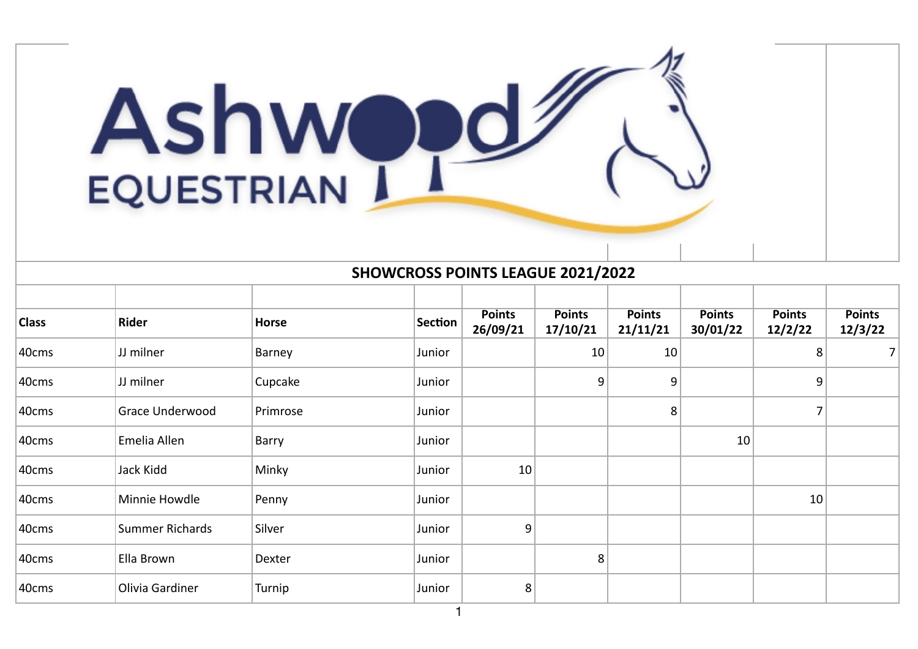

## **SHOWCROSS POINTS LEAGUE 2021/2022**

| <b>Class</b> | <b>Rider</b>    | Horse    | Section | <b>Points</b><br>26/09/21 | <b>Points</b><br>17/10/21 | <b>Points</b><br>21/11/21 | <b>Points</b><br>30/01/22 | <b>Points</b><br>12/2/22 | <b>Points</b><br>12/3/22 |
|--------------|-----------------|----------|---------|---------------------------|---------------------------|---------------------------|---------------------------|--------------------------|--------------------------|
| 40cms        | JJ milner       | Barney   | Junior  |                           | 10                        | 10                        |                           | 8 <sup>2</sup>           | 7 <sup>1</sup>           |
| 40cms        | JJ milner       | Cupcake  | Junior  |                           | 9                         | 9                         |                           | 9                        |                          |
| 40cms        | Grace Underwood | Primrose | Junior  |                           |                           | 8 <sup>°</sup>            |                           | 7                        |                          |
| 40cms        | Emelia Allen    | Barry    | Junior  |                           |                           |                           | 10                        |                          |                          |
| 40cms        | Jack Kidd       | Minky    | Junior  | 10                        |                           |                           |                           |                          |                          |
| 40cms        | Minnie Howdle   | Penny    | Junior  |                           |                           |                           |                           | 10                       |                          |
| 40cms        | Summer Richards | Silver   | Junior  | 9                         |                           |                           |                           |                          |                          |
| 40cms        | Ella Brown      | Dexter   | Junior  |                           | 8                         |                           |                           |                          |                          |
| 40cms        | Olivia Gardiner | Turnip   | Junior  | 8                         |                           |                           |                           |                          |                          |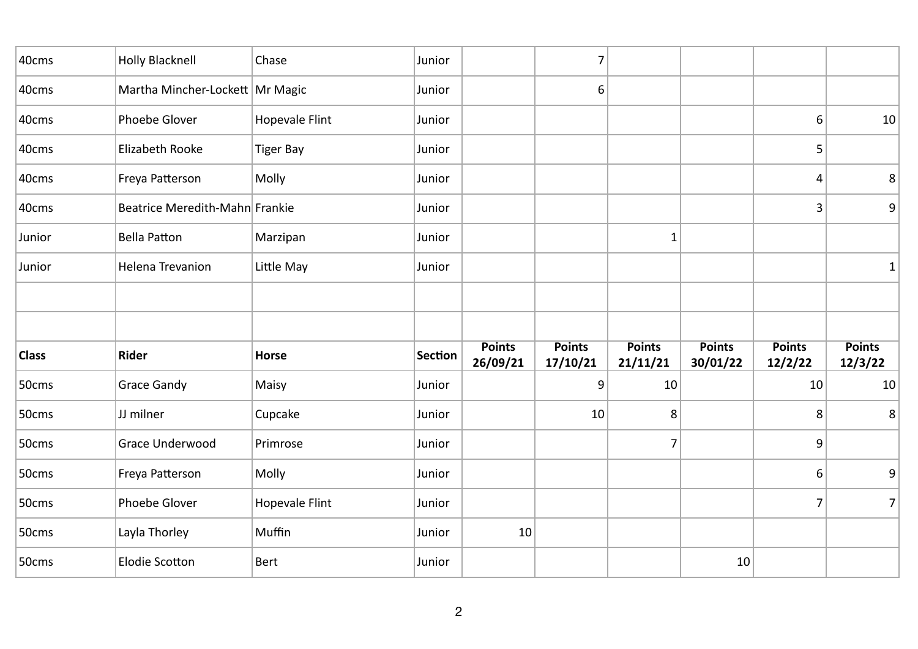| 40cms        | <b>Holly Blacknell</b>            | Chase            | Junior         |                           | $\overline{7}$            |                           |                           |                          |                          |
|--------------|-----------------------------------|------------------|----------------|---------------------------|---------------------------|---------------------------|---------------------------|--------------------------|--------------------------|
| 40cms        | Martha Mincher-Lockett   Mr Magic |                  | Junior         |                           | 6                         |                           |                           |                          |                          |
| 40cms        | Phoebe Glover                     | Hopevale Flint   | Junior         |                           |                           |                           |                           | 6                        | 10                       |
| 40cms        | Elizabeth Rooke                   | <b>Tiger Bay</b> | Junior         |                           |                           |                           |                           | 5                        |                          |
| 40cms        | Freya Patterson                   | Molly            | Junior         |                           |                           |                           |                           | 4                        | $\,8\,$                  |
| 40cms        | Beatrice Meredith-Mahn Frankie    |                  | Junior         |                           |                           |                           |                           | 3                        | 9 <sup>1</sup>           |
| Junior       | <b>Bella Patton</b>               | Marzipan         | Junior         |                           |                           | $\mathbf{1}$              |                           |                          |                          |
| Junior       | <b>Helena Trevanion</b>           | Little May       | Junior         |                           |                           |                           |                           |                          | $1\vert$                 |
|              |                                   |                  |                |                           |                           |                           |                           |                          |                          |
|              |                                   |                  |                |                           |                           |                           |                           |                          |                          |
| <b>Class</b> | <b>Rider</b>                      | Horse            | <b>Section</b> | <b>Points</b><br>26/09/21 | <b>Points</b><br>17/10/21 | <b>Points</b><br>21/11/21 | <b>Points</b><br>30/01/22 | <b>Points</b><br>12/2/22 | <b>Points</b><br>12/3/22 |
| 50cms        | <b>Grace Gandy</b>                | Maisy            | Junior         |                           | 9                         | 10                        |                           | 10                       | 10                       |
| 50cms        | JJ milner                         | Cupcake          | Junior         |                           | 10                        | 8                         |                           | 8                        | 8                        |
| 50cms        | Grace Underwood                   | Primrose         | Junior         |                           |                           | 7                         |                           | 9                        |                          |
| 50cms        | Freya Patterson                   | Molly            | Junior         |                           |                           |                           |                           | 6                        | 9                        |
| 50cms        | Phoebe Glover                     | Hopevale Flint   | Junior         |                           |                           |                           |                           | $\overline{7}$           | 7                        |
| 50cms        | Layla Thorley                     | Muffin           | Junior         | 10                        |                           |                           |                           |                          |                          |
|              |                                   |                  |                |                           |                           |                           |                           |                          |                          |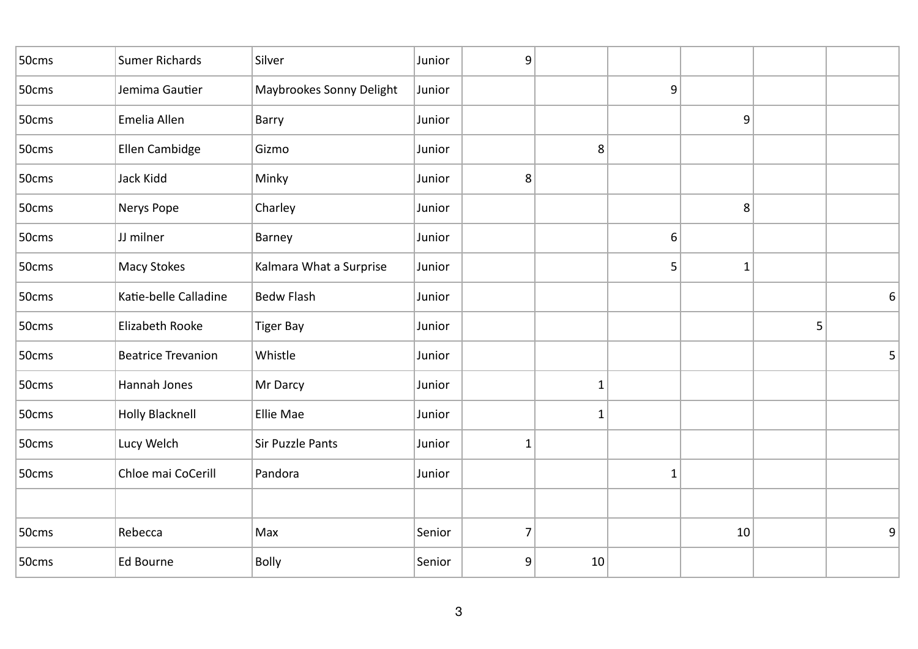| 50cms | Sumer Richards            | Silver                   | Junior | 9              |              |              |              |   |   |
|-------|---------------------------|--------------------------|--------|----------------|--------------|--------------|--------------|---|---|
| 50cms | Jemima Gautier            | Maybrookes Sonny Delight | Junior |                |              | 9            |              |   |   |
| 50cms | Emelia Allen              | Barry                    | Junior |                |              |              | 9            |   |   |
| 50cms | Ellen Cambidge            | Gizmo                    | Junior |                | 8            |              |              |   |   |
| 50cms | Jack Kidd                 | Minky                    | Junior | 8              |              |              |              |   |   |
| 50cms | Nerys Pope                | Charley                  | Junior |                |              |              | 8            |   |   |
| 50cms | JJ milner                 | Barney                   | Junior |                |              | 6            |              |   |   |
| 50cms | Macy Stokes               | Kalmara What a Surprise  | Junior |                |              | 5            | $\mathbf{1}$ |   |   |
| 50cms | Katie-belle Calladine     | <b>Bedw Flash</b>        | Junior |                |              |              |              |   | 6 |
| 50cms | Elizabeth Rooke           | <b>Tiger Bay</b>         | Junior |                |              |              |              | 5 |   |
| 50cms | <b>Beatrice Trevanion</b> | Whistle                  | Junior |                |              |              |              |   | 5 |
| 50cms | Hannah Jones              | Mr Darcy                 | Junior |                | $\mathbf{1}$ |              |              |   |   |
| 50cms | <b>Holly Blacknell</b>    | Ellie Mae                | Junior |                | $\mathbf{1}$ |              |              |   |   |
| 50cms | Lucy Welch                | Sir Puzzle Pants         | Junior | $\mathbf{1}$   |              |              |              |   |   |
| 50cms | Chloe mai CoCerill        | Pandora                  | Junior |                |              | $\mathbf{1}$ |              |   |   |
|       |                           |                          |        |                |              |              |              |   |   |
| 50cms | Rebecca                   | Max                      | Senior | $\overline{7}$ |              |              | 10           |   | 9 |
| 50cms | Ed Bourne                 | Bolly                    | Senior | 9              | 10           |              |              |   |   |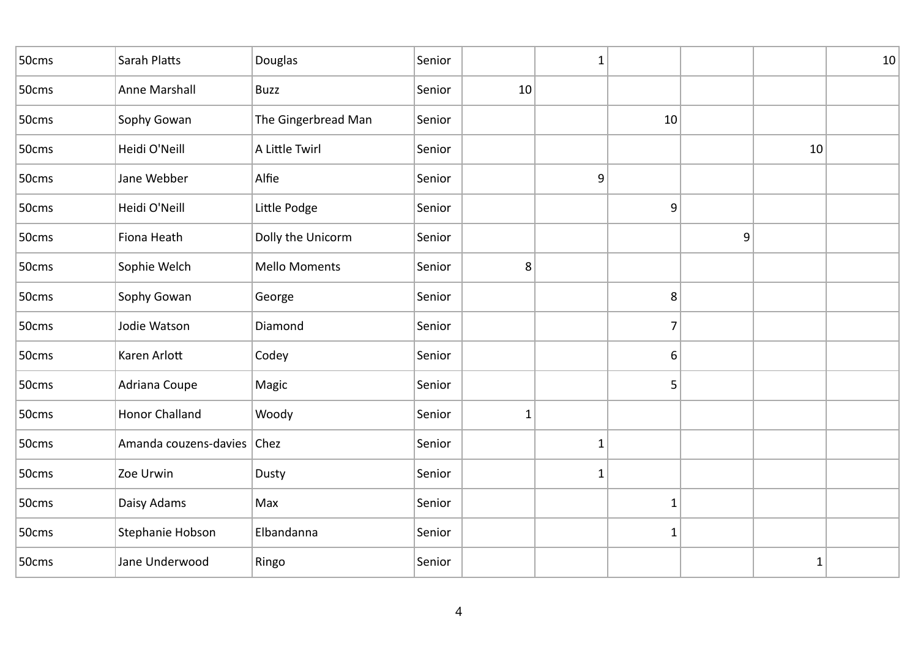| 50cms | Sarah Platts               | Douglas              | Senior |              | 1            |                |   |             | 10 |
|-------|----------------------------|----------------------|--------|--------------|--------------|----------------|---|-------------|----|
| 50cms | Anne Marshall              | <b>Buzz</b>          | Senior | 10           |              |                |   |             |    |
| 50cms | Sophy Gowan                | The Gingerbread Man  | Senior |              |              | 10             |   |             |    |
| 50cms | Heidi O'Neill              | A Little Twirl       | Senior |              |              |                |   | 10          |    |
| 50cms | Jane Webber                | Alfie                | Senior |              | 9            |                |   |             |    |
| 50cms | Heidi O'Neill              | Little Podge         | Senior |              |              | 9              |   |             |    |
| 50cms | Fiona Heath                | Dolly the Unicorm    | Senior |              |              |                | 9 |             |    |
| 50cms | Sophie Welch               | <b>Mello Moments</b> | Senior | 8            |              |                |   |             |    |
| 50cms | Sophy Gowan                | George               | Senior |              |              | 8              |   |             |    |
| 50cms | Jodie Watson               | Diamond              | Senior |              |              | $\overline{7}$ |   |             |    |
| 50cms | Karen Arlott               | Codey                | Senior |              |              | 6              |   |             |    |
| 50cms | Adriana Coupe              | Magic                | Senior |              |              | 5              |   |             |    |
| 50cms | <b>Honor Challand</b>      | Woody                | Senior | $\mathbf{1}$ |              |                |   |             |    |
| 50cms | Amanda couzens-davies Chez |                      | Senior |              | $\mathbf{1}$ |                |   |             |    |
| 50cms | Zoe Urwin                  | Dusty                | Senior |              | $\mathbf{1}$ |                |   |             |    |
| 50cms | Daisy Adams                | Max                  | Senior |              |              | $\mathbf{1}$   |   |             |    |
| 50cms | Stephanie Hobson           | Elbandanna           | Senior |              |              | $\mathbf{1}$   |   |             |    |
| 50cms | Jane Underwood             | Ringo                | Senior |              |              |                |   | $\mathbf 1$ |    |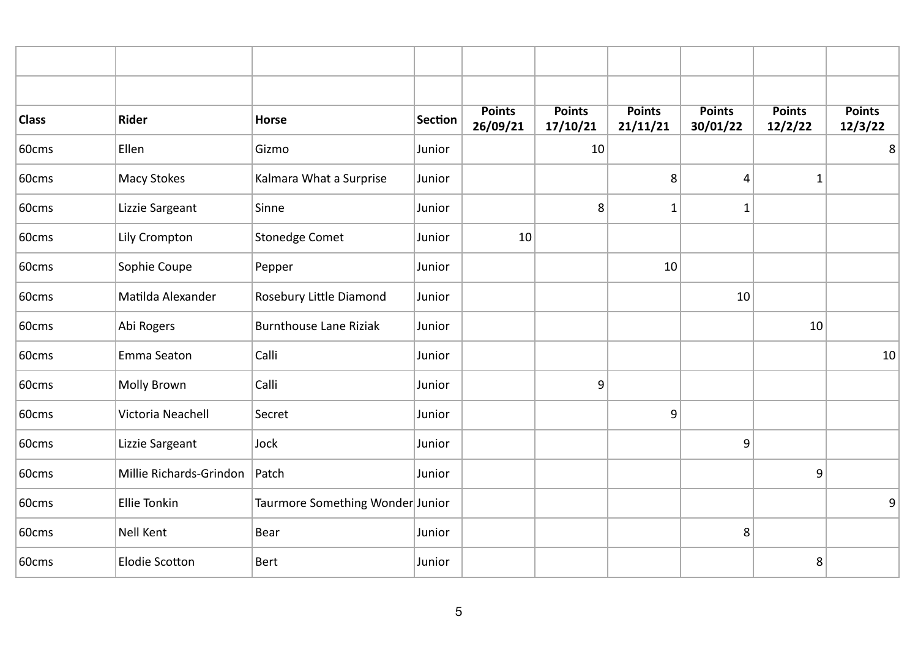| <b>Class</b> | <b>Rider</b>            | <b>Horse</b>                     | <b>Section</b> | <b>Points</b><br>26/09/21 | <b>Points</b><br>17/10/21 | <b>Points</b><br>21/11/21 | <b>Points</b><br>30/01/22 | <b>Points</b><br>12/2/22 | <b>Points</b><br>12/3/22 |
|--------------|-------------------------|----------------------------------|----------------|---------------------------|---------------------------|---------------------------|---------------------------|--------------------------|--------------------------|
| 60cms        | Ellen                   | Gizmo                            | Junior         |                           | 10                        |                           |                           |                          | 8                        |
| 60cms        | Macy Stokes             | Kalmara What a Surprise          | Junior         |                           |                           | 8                         | 4                         | $\mathbf{1}$             |                          |
| 60cms        | Lizzie Sargeant         | Sinne                            | Junior         |                           | 8                         | $\mathbf{1}$              | 1                         |                          |                          |
| 60cms        | Lily Crompton           | <b>Stonedge Comet</b>            | Junior         | 10                        |                           |                           |                           |                          |                          |
| 60cms        | Sophie Coupe            | Pepper                           | Junior         |                           |                           | 10                        |                           |                          |                          |
| 60cms        | Matilda Alexander       | Rosebury Little Diamond          | Junior         |                           |                           |                           | 10                        |                          |                          |
| 60cms        | Abi Rogers              | <b>Burnthouse Lane Riziak</b>    | Junior         |                           |                           |                           |                           | 10                       |                          |
| 60cms        | Emma Seaton             | Calli                            | Junior         |                           |                           |                           |                           |                          | 10                       |
| 60cms        | Molly Brown             | Calli                            | Junior         |                           | 9                         |                           |                           |                          |                          |
| 60cms        | Victoria Neachell       | Secret                           | Junior         |                           |                           | 9                         |                           |                          |                          |
| 60cms        | Lizzie Sargeant         | Jock                             | Junior         |                           |                           |                           | 9                         |                          |                          |
| 60cms        | Millie Richards-Grindon | Patch                            | Junior         |                           |                           |                           |                           | 9                        |                          |
| 60cms        | <b>Ellie Tonkin</b>     | Taurmore Something Wonder Junior |                |                           |                           |                           |                           |                          | 9 <sup>1</sup>           |
| 60cms        | Nell Kent               | Bear                             | Junior         |                           |                           |                           | 8                         |                          |                          |
| 60cms        | <b>Elodie Scotton</b>   | <b>Bert</b>                      | Junior         |                           |                           |                           |                           | 8                        |                          |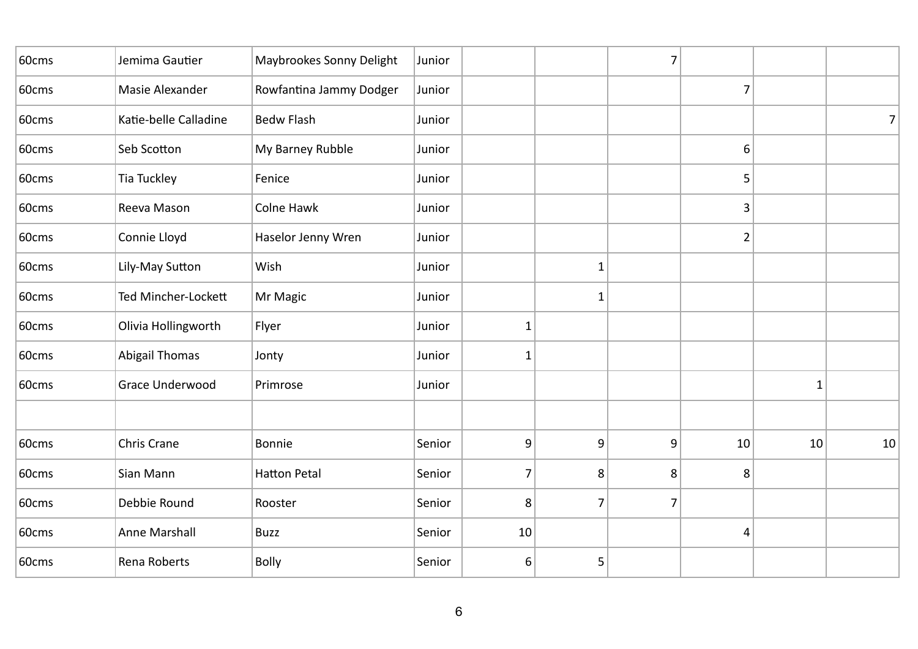| 60cms | Jemima Gautier         | Maybrookes Sonny Delight | Junior |              |   | $\overline{7}$ |                |    |    |
|-------|------------------------|--------------------------|--------|--------------|---|----------------|----------------|----|----|
| 60cms | Masie Alexander        | Rowfantina Jammy Dodger  | Junior |              |   |                | $\overline{7}$ |    |    |
| 60cms | Katie-belle Calladine  | <b>Bedw Flash</b>        | Junior |              |   |                |                |    | 7  |
| 60cms | Seb Scotton            | My Barney Rubble         | Junior |              |   |                | 6              |    |    |
| 60cms | <b>Tia Tuckley</b>     | Fenice                   | Junior |              |   |                | 5              |    |    |
| 60cms | Reeva Mason            | Colne Hawk               | Junior |              |   |                | 3              |    |    |
| 60cms | Connie Lloyd           | Haselor Jenny Wren       | Junior |              |   |                | $\overline{2}$ |    |    |
| 60cms | Lily-May Sutton        | Wish                     | Junior |              | 1 |                |                |    |    |
| 60cms | Ted Mincher-Lockett    | Mr Magic                 | Junior |              | 1 |                |                |    |    |
| 60cms | Olivia Hollingworth    | Flyer                    | Junior | $\mathbf{1}$ |   |                |                |    |    |
| 60cms | <b>Abigail Thomas</b>  | Jonty                    | Junior | $\mathbf{1}$ |   |                |                |    |    |
| 60cms | <b>Grace Underwood</b> | Primrose                 | Junior |              |   |                |                | 1  |    |
|       |                        |                          |        |              |   |                |                |    |    |
| 60cms | <b>Chris Crane</b>     | Bonnie                   | Senior | 9            | 9 | 9              | 10             | 10 | 10 |
| 60cms | Sian Mann              | <b>Hatton Petal</b>      | Senior | 7            | 8 | 8              | 8              |    |    |
| 60cms | Debbie Round           | Rooster                  | Senior | 8            | 7 | 7              |                |    |    |
| 60cms | Anne Marshall          | <b>Buzz</b>              | Senior | 10           |   |                | 4              |    |    |
| 60cms | Rena Roberts           | <b>Bolly</b>             | Senior | 6            | 5 |                |                |    |    |
|       |                        |                          |        |              |   |                |                |    |    |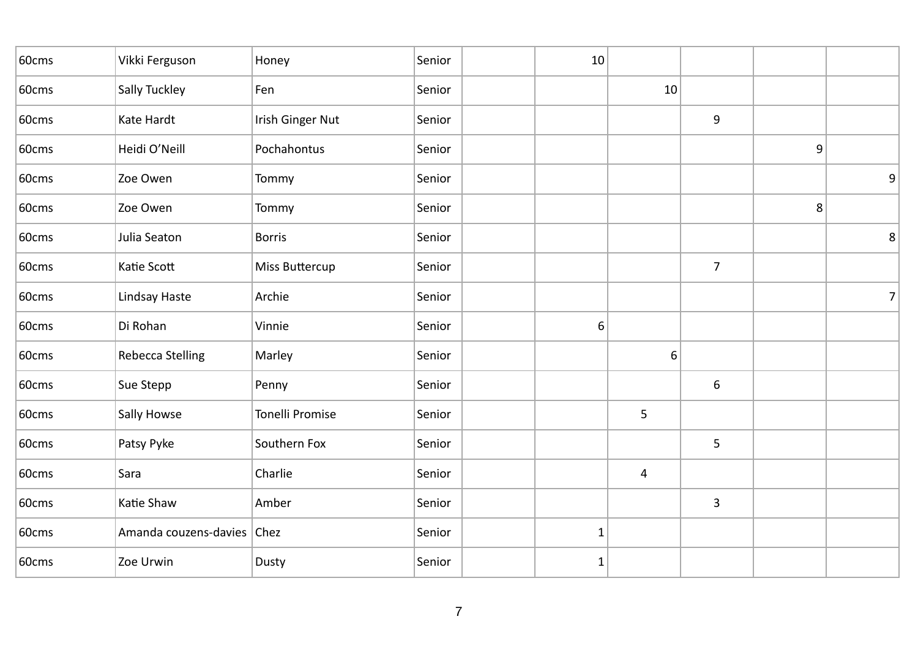| Vikki Ferguson   | Honey                  | Senior                     | 10           |    |                |   |                |
|------------------|------------------------|----------------------------|--------------|----|----------------|---|----------------|
| Sally Tuckley    | Fen                    | Senior                     |              | 10 |                |   |                |
| Kate Hardt       | Irish Ginger Nut       | Senior                     |              |    | 9              |   |                |
| Heidi O'Neill    | Pochahontus            | Senior                     |              |    |                | 9 |                |
| Zoe Owen         | Tommy                  | Senior                     |              |    |                |   | 9              |
| Zoe Owen         | Tommy                  | Senior                     |              |    |                | 8 |                |
| Julia Seaton     | <b>Borris</b>          | Senior                     |              |    |                |   | $\,8\,$        |
| Katie Scott      | Miss Buttercup         | Senior                     |              |    | $\overline{7}$ |   |                |
| Lindsay Haste    | Archie                 | Senior                     |              |    |                |   | $\overline{7}$ |
| Di Rohan         | Vinnie                 | Senior                     | 6            |    |                |   |                |
| Rebecca Stelling | Marley                 | Senior                     |              | 6  |                |   |                |
| Sue Stepp        | Penny                  | Senior                     |              |    | 6              |   |                |
| Sally Howse      | <b>Tonelli Promise</b> | Senior                     |              | 5  |                |   |                |
| Patsy Pyke       | Southern Fox           | Senior                     |              |    | 5              |   |                |
| Sara             | Charlie                | Senior                     |              | 4  |                |   |                |
| Katie Shaw       | Amber                  | Senior                     |              |    | 3              |   |                |
|                  |                        | Senior                     | $\mathbf{1}$ |    |                |   |                |
| Zoe Urwin        | Dusty                  | Senior                     | 1            |    |                |   |                |
|                  |                        | Amanda couzens-davies Chez |              |    |                |   |                |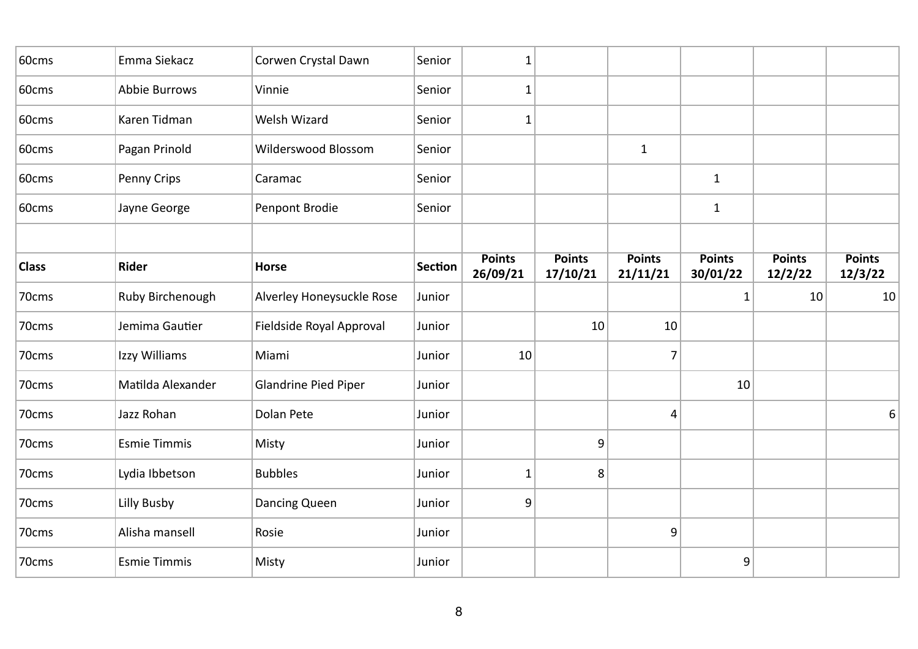| 60cms        | Emma Siekacz        | Corwen Crystal Dawn         | Senior         | 1                         |                           |                           |                           |                          |                          |
|--------------|---------------------|-----------------------------|----------------|---------------------------|---------------------------|---------------------------|---------------------------|--------------------------|--------------------------|
| 60cms        | Abbie Burrows       | Vinnie                      | Senior         | $\mathbf{1}$              |                           |                           |                           |                          |                          |
| 60cms        | Karen Tidman        | Welsh Wizard                | Senior         | $\mathbf{1}$              |                           |                           |                           |                          |                          |
| 60cms        | Pagan Prinold       | Wilderswood Blossom         | Senior         |                           |                           | $\mathbf{1}$              |                           |                          |                          |
| 60cms        | Penny Crips         | Caramac                     | Senior         |                           |                           |                           | $\mathbf 1$               |                          |                          |
| 60cms        | Jayne George        | Penpont Brodie              | Senior         |                           |                           |                           | $\mathbf{1}$              |                          |                          |
|              |                     |                             |                |                           |                           |                           |                           |                          |                          |
| <b>Class</b> | Rider               | <b>Horse</b>                | <b>Section</b> | <b>Points</b><br>26/09/21 | <b>Points</b><br>17/10/21 | <b>Points</b><br>21/11/21 | <b>Points</b><br>30/01/22 | <b>Points</b><br>12/2/22 | <b>Points</b><br>12/3/22 |
| 70cms        | Ruby Birchenough    | Alverley Honeysuckle Rose   | Junior         |                           |                           |                           | 1                         | 10                       | 10                       |
| 70cms        | Jemima Gautier      | Fieldside Royal Approval    | Junior         |                           | 10                        | 10                        |                           |                          |                          |
| 70cms        | Izzy Williams       | Miami                       | Junior         | 10                        |                           | $\overline{7}$            |                           |                          |                          |
| 70cms        | Matilda Alexander   | <b>Glandrine Pied Piper</b> | Junior         |                           |                           |                           | 10                        |                          |                          |
| 70cms        | Jazz Rohan          | Dolan Pete                  | Junior         |                           |                           | 4                         |                           |                          | 6                        |
| 70cms        | <b>Esmie Timmis</b> | Misty                       | Junior         |                           | 9                         |                           |                           |                          |                          |
| 70cms        | Lydia Ibbetson      | <b>Bubbles</b>              | Junior         | $\mathbf{1}$              | 8                         |                           |                           |                          |                          |
| 70cms        | Lilly Busby         | Dancing Queen               | Junior         | 9                         |                           |                           |                           |                          |                          |
| 70cms        | Alisha mansell      | Rosie                       | Junior         |                           |                           | 9                         |                           |                          |                          |
| 70cms        | <b>Esmie Timmis</b> | Misty                       | Junior         |                           |                           |                           | 9                         |                          |                          |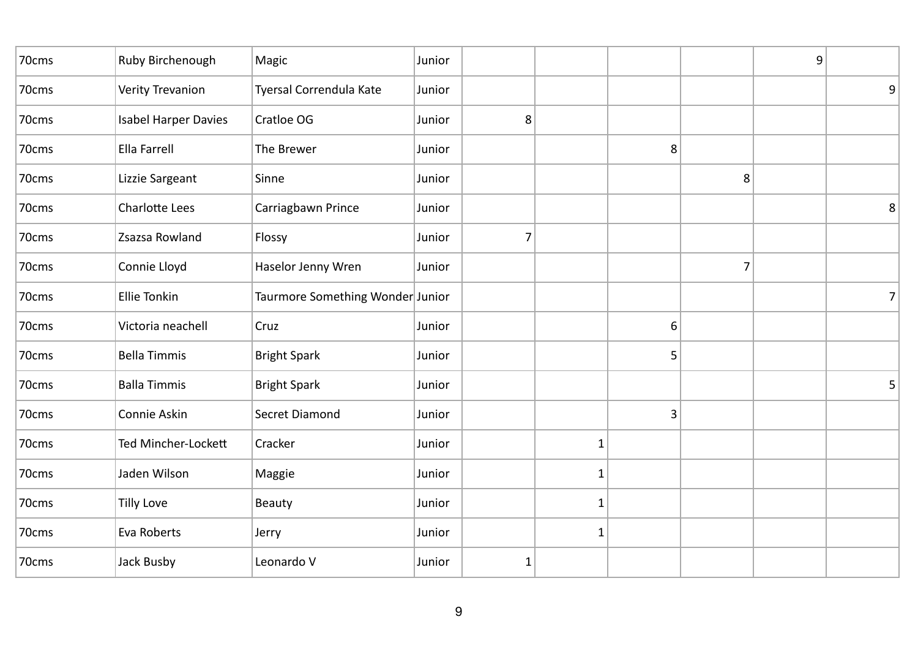| Ruby Birchenough            | Magic                   | Junior |                                  |              |   |   | 9 |   |
|-----------------------------|-------------------------|--------|----------------------------------|--------------|---|---|---|---|
| <b>Verity Trevanion</b>     | Tyersal Correndula Kate | Junior |                                  |              |   |   |   | 9 |
| <b>Isabel Harper Davies</b> | Cratloe OG              | Junior | 8                                |              |   |   |   |   |
| <b>Ella Farrell</b>         | The Brewer              | Junior |                                  |              | 8 |   |   |   |
| Lizzie Sargeant             | Sinne                   | Junior |                                  |              |   | 8 |   |   |
| Charlotte Lees              | Carriagbawn Prince      | Junior |                                  |              |   |   |   | 8 |
| Zsazsa Rowland              | Flossy                  | Junior | $\overline{7}$                   |              |   |   |   |   |
| Connie Lloyd                | Haselor Jenny Wren      | Junior |                                  |              |   | 7 |   |   |
| <b>Ellie Tonkin</b>         |                         |        |                                  |              |   |   |   | 7 |
| Victoria neachell           | Cruz                    | Junior |                                  |              | 6 |   |   |   |
| <b>Bella Timmis</b>         | <b>Bright Spark</b>     | Junior |                                  |              | 5 |   |   |   |
| <b>Balla Timmis</b>         | <b>Bright Spark</b>     | Junior |                                  |              |   |   |   | 5 |
| Connie Askin                | Secret Diamond          | Junior |                                  |              | 3 |   |   |   |
| Ted Mincher-Lockett         | Cracker                 | Junior |                                  | 1            |   |   |   |   |
| Jaden Wilson                | Maggie                  | Junior |                                  | 1            |   |   |   |   |
| <b>Tilly Love</b>           | Beauty                  | Junior |                                  | 1            |   |   |   |   |
| Eva Roberts                 | Jerry                   | Junior |                                  | $\mathbf{1}$ |   |   |   |   |
| Jack Busby                  | Leonardo V              | Junior | ${\bf 1}$                        |              |   |   |   |   |
|                             |                         |        | Taurmore Something Wonder Junior |              |   |   |   |   |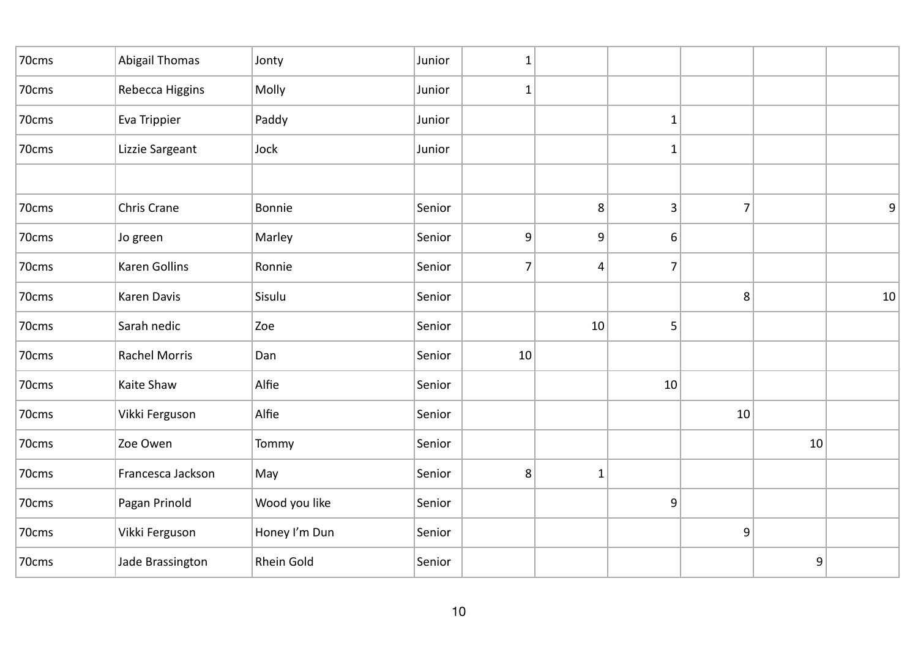| 70cms | <b>Abigail Thomas</b> | Jonty         | Junior | $\mathbf{1}$     |              |              |                |    |    |
|-------|-----------------------|---------------|--------|------------------|--------------|--------------|----------------|----|----|
| 70cms | Rebecca Higgins       | Molly         | Junior | $\mathbf{1}$     |              |              |                |    |    |
| 70cms | Eva Trippier          | Paddy         | Junior |                  |              | $\mathbf 1$  |                |    |    |
| 70cms | Lizzie Sargeant       | Jock          | Junior |                  |              | $\mathbf{1}$ |                |    |    |
|       |                       |               |        |                  |              |              |                |    |    |
| 70cms | Chris Crane           | Bonnie        | Senior |                  | 8            | 3            | $\overline{7}$ |    | 9  |
| 70cms | Jo green              | Marley        | Senior | $\boldsymbol{9}$ | 9            | 6            |                |    |    |
| 70cms | Karen Gollins         | Ronnie        | Senior | 7                | 4            | 7            |                |    |    |
| 70cms | Karen Davis           | Sisulu        | Senior |                  |              |              | $\,8\,$        |    | 10 |
| 70cms | Sarah nedic           | Zoe           | Senior |                  | 10           | 5            |                |    |    |
| 70cms | <b>Rachel Morris</b>  | Dan           | Senior | 10               |              |              |                |    |    |
| 70cms | Kaite Shaw            | Alfie         | Senior |                  |              | 10           |                |    |    |
| 70cms | Vikki Ferguson        | Alfie         | Senior |                  |              |              | 10             |    |    |
| 70cms | Zoe Owen              | Tommy         | Senior |                  |              |              |                | 10 |    |
| 70cms | Francesca Jackson     | May           | Senior | 8                | $\mathbf{1}$ |              |                |    |    |
| 70cms | Pagan Prinold         | Wood you like | Senior |                  |              | 9            |                |    |    |
| 70cms | Vikki Ferguson        | Honey I'm Dun | Senior |                  |              |              | 9              |    |    |
| 70cms | Jade Brassington      | Rhein Gold    | Senior |                  |              |              |                | 9  |    |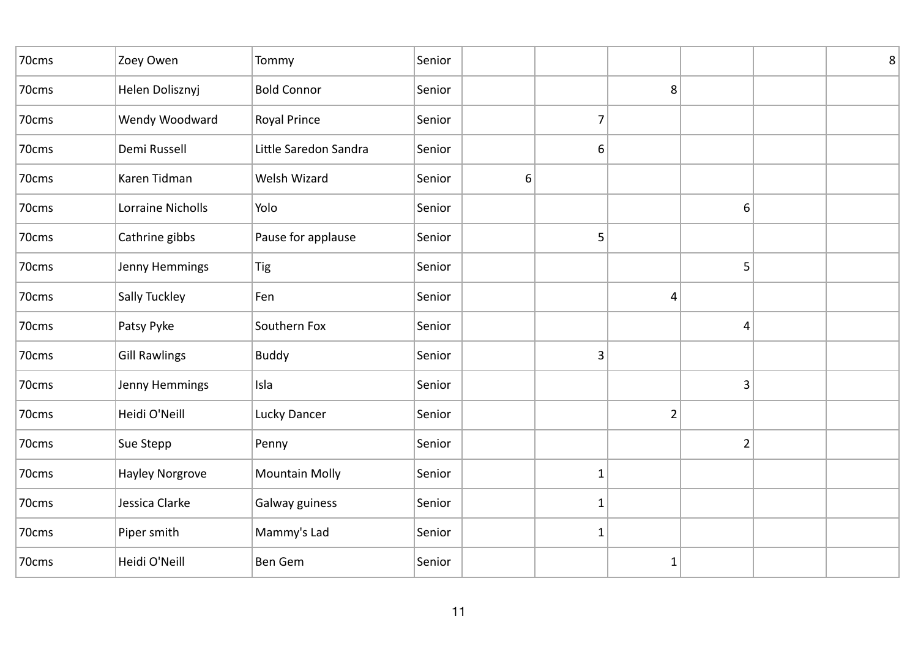| 70cms | Zoey Owen            | Tommy                 | Senior |   |                |                |                | $\,8\,$ |
|-------|----------------------|-----------------------|--------|---|----------------|----------------|----------------|---------|
| 70cms | Helen Dolisznyj      | <b>Bold Connor</b>    | Senior |   |                | 8              |                |         |
| 70cms | Wendy Woodward       | Royal Prince          | Senior |   | $\overline{7}$ |                |                |         |
| 70cms | Demi Russell         | Little Saredon Sandra | Senior |   | $6 \mid$       |                |                |         |
| 70cms | Karen Tidman         | Welsh Wizard          | Senior | 6 |                |                |                |         |
| 70cms | Lorraine Nicholls    | Yolo                  | Senior |   |                |                | 6              |         |
| 70cms | Cathrine gibbs       | Pause for applause    | Senior |   | 5              |                |                |         |
| 70cms | Jenny Hemmings       | Tig                   | Senior |   |                |                | 5              |         |
| 70cms | Sally Tuckley        | Fen                   | Senior |   |                | 4              |                |         |
| 70cms | Patsy Pyke           | Southern Fox          | Senior |   |                |                | 4              |         |
| 70cms | <b>Gill Rawlings</b> | <b>Buddy</b>          | Senior |   | 3              |                |                |         |
| 70cms | Jenny Hemmings       | Isla                  | Senior |   |                |                | 3              |         |
| 70cms | Heidi O'Neill        | Lucky Dancer          | Senior |   |                | $\overline{2}$ |                |         |
| 70cms | Sue Stepp            | Penny                 | Senior |   |                |                | $\overline{2}$ |         |
| 70cms | Hayley Norgrove      | <b>Mountain Molly</b> | Senior |   | $\mathbf{1}$   |                |                |         |
| 70cms | Jessica Clarke       | Galway guiness        | Senior |   | 1              |                |                |         |
| 70cms | Piper smith          | Mammy's Lad           | Senior |   | $\mathbf{1}$   |                |                |         |
| 70cms | Heidi O'Neill        | <b>Ben Gem</b>        | Senior |   |                | $\mathbf 1$    |                |         |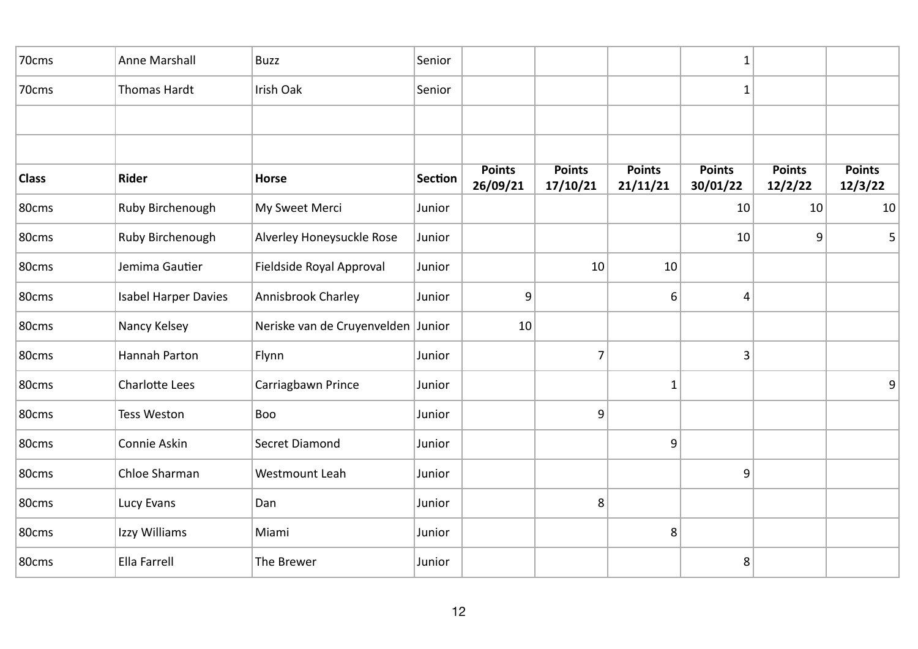| 70cms        | Anne Marshall               | <b>Buzz</b>                        | Senior         |                           |                           |                           | $\mathbf 1$               |                          |                          |
|--------------|-----------------------------|------------------------------------|----------------|---------------------------|---------------------------|---------------------------|---------------------------|--------------------------|--------------------------|
| 70cms        | Thomas Hardt                | Irish Oak                          | Senior         |                           |                           |                           | 1                         |                          |                          |
|              |                             |                                    |                |                           |                           |                           |                           |                          |                          |
|              |                             |                                    |                |                           |                           |                           |                           |                          |                          |
| <b>Class</b> | Rider                       | <b>Horse</b>                       | <b>Section</b> | <b>Points</b><br>26/09/21 | <b>Points</b><br>17/10/21 | <b>Points</b><br>21/11/21 | <b>Points</b><br>30/01/22 | <b>Points</b><br>12/2/22 | <b>Points</b><br>12/3/22 |
| 80cms        | Ruby Birchenough            | My Sweet Merci                     | Junior         |                           |                           |                           | 10                        | 10                       | 10                       |
| 80cms        | Ruby Birchenough            | Alverley Honeysuckle Rose          | Junior         |                           |                           |                           | 10                        | 9                        | 5                        |
| 80cms        | Jemima Gautier              | Fieldside Royal Approval           | Junior         |                           | 10                        | 10                        |                           |                          |                          |
| 80cms        | <b>Isabel Harper Davies</b> | Annisbrook Charley                 | Junior         | 9                         |                           | 6                         | 4                         |                          |                          |
| 80cms        | Nancy Kelsey                | Neriske van de Cruyenvelden Junior |                | 10                        |                           |                           |                           |                          |                          |
| 80cms        | Hannah Parton               | Flynn                              | Junior         |                           | $\overline{7}$            |                           | 3                         |                          |                          |
| 80cms        | <b>Charlotte Lees</b>       | Carriagbawn Prince                 | Junior         |                           |                           | $\mathbf{1}$              |                           |                          | 9                        |
| 80cms        | <b>Tess Weston</b>          | Boo                                | Junior         |                           | 9                         |                           |                           |                          |                          |
| 80cms        | Connie Askin                | Secret Diamond                     | Junior         |                           |                           | 9                         |                           |                          |                          |
| 80cms        | Chloe Sharman               | Westmount Leah                     | Junior         |                           |                           |                           | 9                         |                          |                          |
| 80cms        | Lucy Evans                  | Dan                                | Junior         |                           | 8                         |                           |                           |                          |                          |
| 80cms        | Izzy Williams               | Miami                              | Junior         |                           |                           | 8                         |                           |                          |                          |
| 80cms        | Ella Farrell                | The Brewer                         | Junior         |                           |                           |                           | 8                         |                          |                          |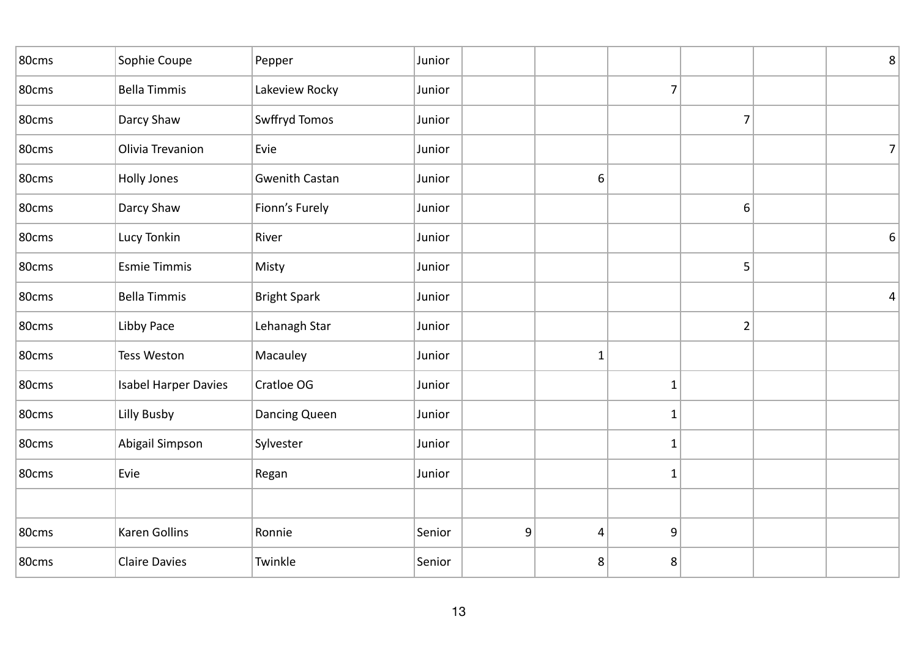| 80cms | Sophie Coupe                | Pepper                | Junior |   |                 |                |                | $\,8\,$        |
|-------|-----------------------------|-----------------------|--------|---|-----------------|----------------|----------------|----------------|
| 80cms | <b>Bella Timmis</b>         | Lakeview Rocky        | Junior |   |                 | $\overline{7}$ |                |                |
| 80cms | Darcy Shaw                  | Swffryd Tomos         | Junior |   |                 |                | $\overline{7}$ |                |
| 80cms | Olivia Trevanion            | Evie                  | Junior |   |                 |                |                | $\overline{7}$ |
| 80cms | <b>Holly Jones</b>          | <b>Gwenith Castan</b> | Junior |   | 6               |                |                |                |
| 80cms | Darcy Shaw                  | Fionn's Furely        | Junior |   |                 |                | 6              |                |
| 80cms | Lucy Tonkin                 | River                 | Junior |   |                 |                |                | 6              |
| 80cms | <b>Esmie Timmis</b>         | Misty                 | Junior |   |                 |                | 5              |                |
| 80cms | <b>Bella Timmis</b>         | <b>Bright Spark</b>   | Junior |   |                 |                |                | 4              |
| 80cms | Libby Pace                  | Lehanagh Star         | Junior |   |                 |                | $\overline{2}$ |                |
| 80cms | <b>Tess Weston</b>          | Macauley              | Junior |   | $\mathbf{1}$    |                |                |                |
| 80cms | <b>Isabel Harper Davies</b> | Cratloe OG            | Junior |   |                 | $\mathbf{1}$   |                |                |
| 80cms | Lilly Busby                 | Dancing Queen         | Junior |   |                 | $\mathbf{1}$   |                |                |
| 80cms | Abigail Simpson             | Sylvester             | Junior |   |                 | $\mathbf{1}$   |                |                |
| 80cms | Evie                        | Regan                 | Junior |   |                 | $\mathbf{1}$   |                |                |
|       |                             |                       |        |   |                 |                |                |                |
| 80cms | Karen Gollins               | Ronnie                | Senior | 9 | $\vert 4 \vert$ | 9              |                |                |
| 80cms | <b>Claire Davies</b>        | Twinkle               | Senior |   | 8               | 8              |                |                |
|       |                             |                       |        |   |                 |                |                |                |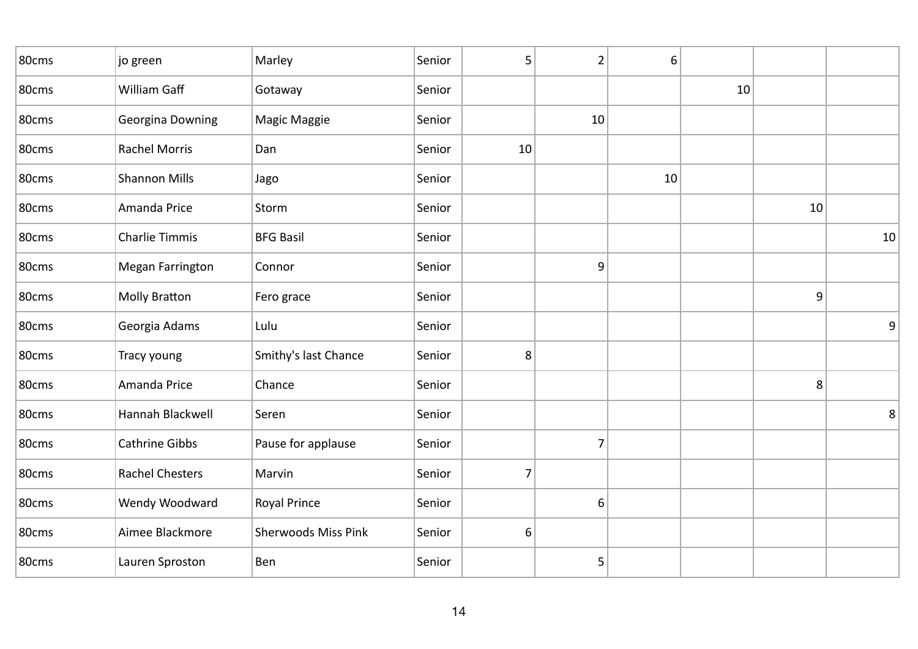| 80cms | jo green               | Marley                     | Senior | 5  | $\overline{2}$ | 6  |    |    |    |
|-------|------------------------|----------------------------|--------|----|----------------|----|----|----|----|
| 80cms | William Gaff           | Gotaway                    | Senior |    |                |    | 10 |    |    |
| 80cms | Georgina Downing       | Magic Maggie               | Senior |    | 10             |    |    |    |    |
| 80cms | <b>Rachel Morris</b>   | Dan                        | Senior | 10 |                |    |    |    |    |
| 80cms | <b>Shannon Mills</b>   | Jago                       | Senior |    |                | 10 |    |    |    |
| 80cms | Amanda Price           | Storm                      | Senior |    |                |    |    | 10 |    |
| 80cms | <b>Charlie Timmis</b>  | <b>BFG Basil</b>           | Senior |    |                |    |    |    | 10 |
| 80cms | Megan Farrington       | Connor                     | Senior |    | 9              |    |    |    |    |
| 80cms | <b>Molly Bratton</b>   | Fero grace                 | Senior |    |                |    |    | 9  |    |
| 80cms | Georgia Adams          | Lulu                       | Senior |    |                |    |    |    | 9  |
| 80cms | Tracy young            | Smithy's last Chance       | Senior | 8  |                |    |    |    |    |
| 80cms | Amanda Price           | Chance                     | Senior |    |                |    |    | 8  |    |
| 80cms | Hannah Blackwell       | Seren                      | Senior |    |                |    |    |    | 8  |
| 80cms | Cathrine Gibbs         | Pause for applause         | Senior |    | 7              |    |    |    |    |
| 80cms | <b>Rachel Chesters</b> | Marvin                     | Senior | 7  |                |    |    |    |    |
| 80cms | Wendy Woodward         | Royal Prince               | Senior |    | 6              |    |    |    |    |
| 80cms | Aimee Blackmore        | <b>Sherwoods Miss Pink</b> | Senior | 6  |                |    |    |    |    |
| 80cms | Lauren Sproston        | Ben                        | Senior |    | 5              |    |    |    |    |
|       |                        |                            |        |    |                |    |    |    |    |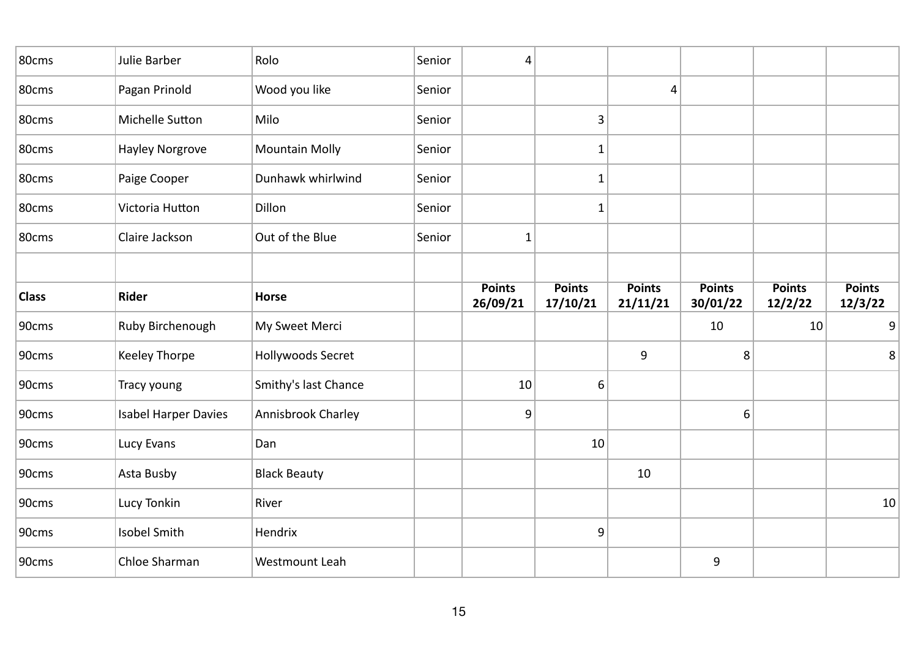| 80cms        | Julie Barber                | Rolo                  | Senior | 4                         |                           |                           |                           |                          |                          |
|--------------|-----------------------------|-----------------------|--------|---------------------------|---------------------------|---------------------------|---------------------------|--------------------------|--------------------------|
| 80cms        | Pagan Prinold               | Wood you like         | Senior |                           |                           | 4                         |                           |                          |                          |
| 80cms        | Michelle Sutton             | Milo                  | Senior |                           | 3                         |                           |                           |                          |                          |
| 80cms        | Hayley Norgrove             | <b>Mountain Molly</b> | Senior |                           | 1                         |                           |                           |                          |                          |
| 80cms        | Paige Cooper                | Dunhawk whirlwind     | Senior |                           | $\mathbf{1}$              |                           |                           |                          |                          |
| 80cms        | Victoria Hutton             | Dillon                | Senior |                           | 1                         |                           |                           |                          |                          |
| 80cms        | Claire Jackson              | Out of the Blue       | Senior | 1                         |                           |                           |                           |                          |                          |
|              |                             |                       |        |                           |                           |                           |                           |                          |                          |
| <b>Class</b> | Rider                       | <b>Horse</b>          |        | <b>Points</b><br>26/09/21 | <b>Points</b><br>17/10/21 | <b>Points</b><br>21/11/21 | <b>Points</b><br>30/01/22 | <b>Points</b><br>12/2/22 | <b>Points</b><br>12/3/22 |
| 90cms        | Ruby Birchenough            | My Sweet Merci        |        |                           |                           |                           | 10                        | 10                       | 9                        |
| 90cms        | Keeley Thorpe               | Hollywoods Secret     |        |                           |                           | 9                         | 8                         |                          | 8                        |
| 90cms        | Tracy young                 | Smithy's last Chance  |        | 10                        | 6                         |                           |                           |                          |                          |
| 90cms        | <b>Isabel Harper Davies</b> | Annisbrook Charley    |        | 9                         |                           |                           | 6                         |                          |                          |
| 90cms        | Lucy Evans                  | Dan                   |        |                           | 10                        |                           |                           |                          |                          |
| 90cms        | Asta Busby                  | <b>Black Beauty</b>   |        |                           |                           | 10                        |                           |                          |                          |
| 90cms        | Lucy Tonkin                 | River                 |        |                           |                           |                           |                           |                          | 10                       |
| 90cms        | Isobel Smith                | Hendrix               |        |                           | 9                         |                           |                           |                          |                          |
|              |                             |                       |        |                           |                           |                           |                           |                          |                          |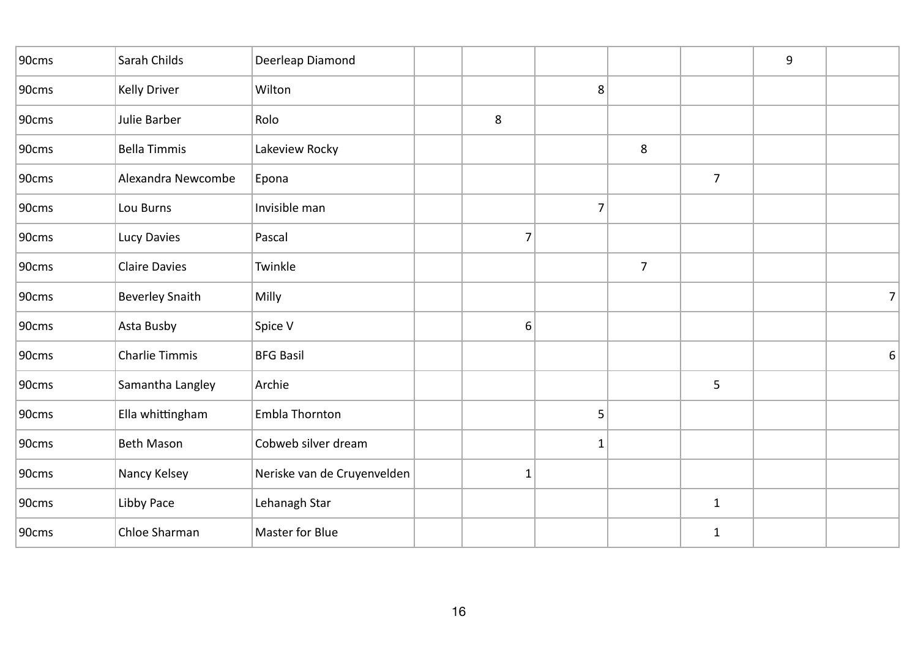| 90cms | Sarah Childs           | Deerleap Diamond            |                |              |                |                | 9 |   |
|-------|------------------------|-----------------------------|----------------|--------------|----------------|----------------|---|---|
| 90cms | Kelly Driver           | Wilton                      |                | 8            |                |                |   |   |
| 90cms | Julie Barber           | Rolo                        | 8              |              |                |                |   |   |
| 90cms | <b>Bella Timmis</b>    | Lakeview Rocky              |                |              | $\,8\,$        |                |   |   |
| 90cms | Alexandra Newcombe     | Epona                       |                |              |                | $\overline{7}$ |   |   |
| 90cms | Lou Burns              | Invisible man               |                | 7            |                |                |   |   |
| 90cms | Lucy Davies            | Pascal                      | $\overline{7}$ |              |                |                |   |   |
| 90cms | <b>Claire Davies</b>   | Twinkle                     |                |              | $\overline{7}$ |                |   |   |
| 90cms | <b>Beverley Snaith</b> | Milly                       |                |              |                |                |   | 7 |
| 90cms | Asta Busby             | Spice V                     | 6              |              |                |                |   |   |
| 90cms | Charlie Timmis         | <b>BFG Basil</b>            |                |              |                |                |   | 6 |
| 90cms | Samantha Langley       | Archie                      |                |              |                | 5              |   |   |
| 90cms | Ella whittingham       | Embla Thornton              |                | 5            |                |                |   |   |
| 90cms | <b>Beth Mason</b>      | Cobweb silver dream         |                | $\mathbf{1}$ |                |                |   |   |
| 90cms | Nancy Kelsey           | Neriske van de Cruyenvelden | $\mathbf{1}$   |              |                |                |   |   |
| 90cms | Libby Pace             | Lehanagh Star               |                |              |                | $\mathbf{1}$   |   |   |
| 90cms | Chloe Sharman          | Master for Blue             |                |              |                | $\mathbf 1$    |   |   |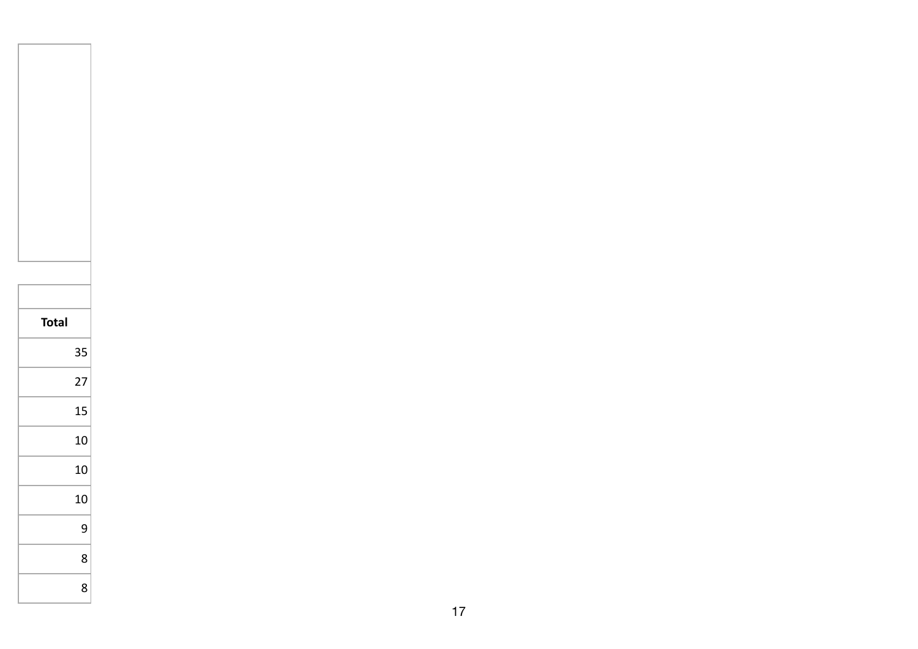| <b>Total</b> |    |
|--------------|----|
|              | 35 |
|              | 27 |
|              | 15 |
|              | 10 |
|              | 10 |
|              | 10 |
|              | 9  |
|              | 8  |
|              | 8  |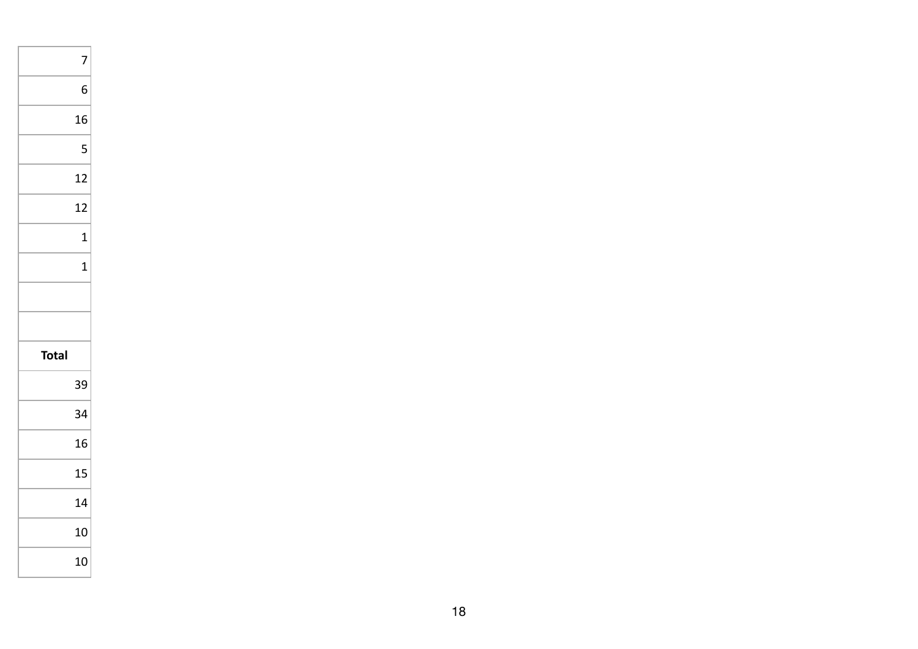|              | 7            |
|--------------|--------------|
|              | 6            |
|              | 16           |
|              | 5            |
|              | 12           |
|              | 12           |
|              | 1            |
|              | $\mathbf{1}$ |
|              |              |
|              |              |
| <b>Total</b> |              |
|              | 39           |
|              | 34           |
|              | 16           |
|              | 15           |
|              | 14           |
|              | 10           |
|              | 10           |
|              |              |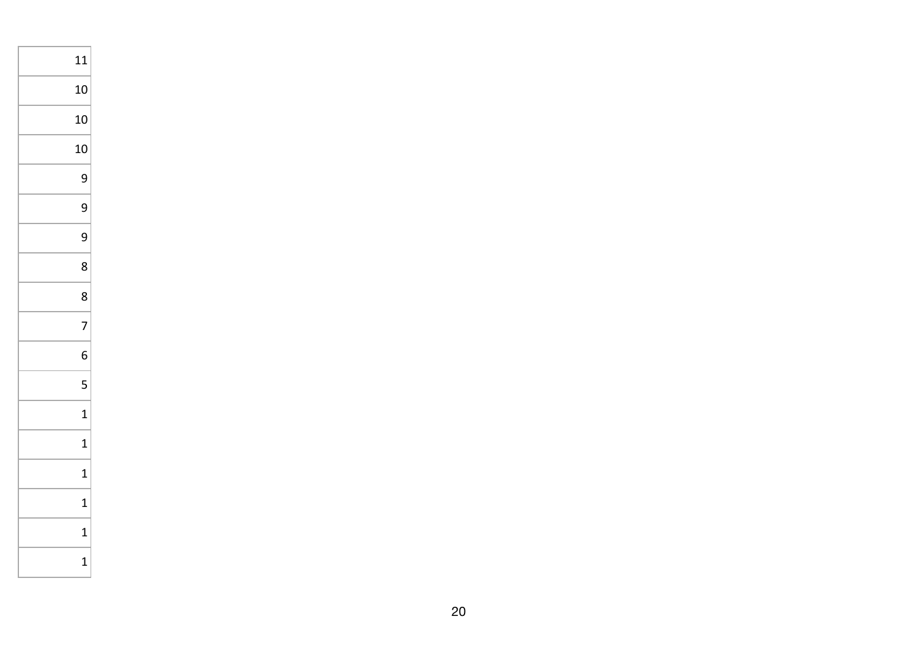| 11             |
|----------------|
| 10             |
| 10             |
| 10             |
| 9              |
| 9              |
| 9              |
| 8              |
| 8              |
| $\overline{7}$ |
| 6              |
| 5              |
| $\mathbf{1}$   |
| $\mathbf{1}$   |
| $\mathbf{1}$   |
| $\mathbf{1}$   |
| $\mathbf 1$    |
| 1              |
|                |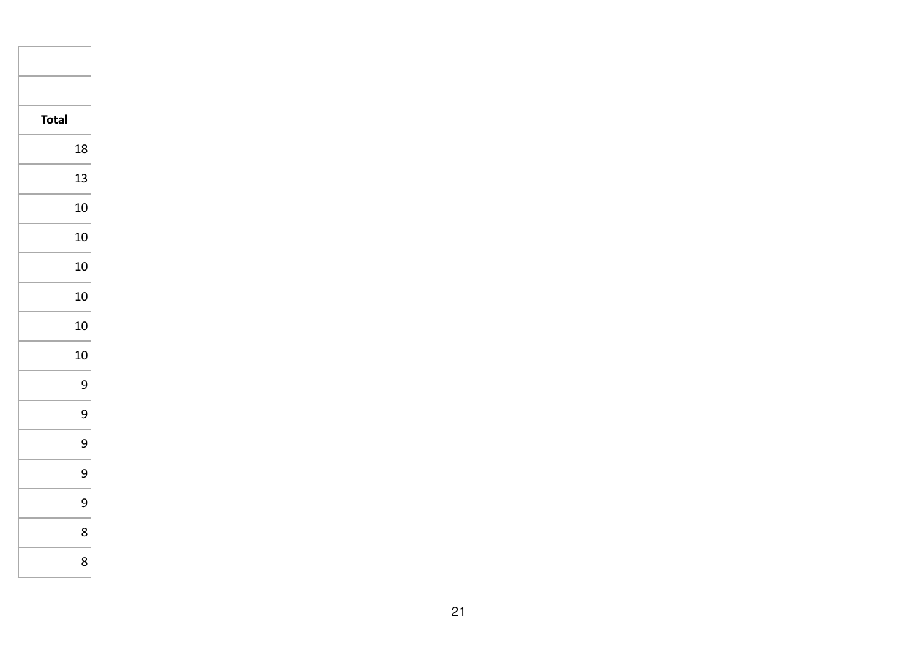| <b>Total</b> |    |
|--------------|----|
|              | 18 |
|              | 13 |
|              | 10 |
|              | 10 |
|              | 10 |
|              | 10 |
|              | 10 |
|              | 10 |
|              | 9  |
|              | 9  |
|              | 9  |
|              | 9  |
|              | 9  |
|              | 8  |
|              | 8  |
|              |    |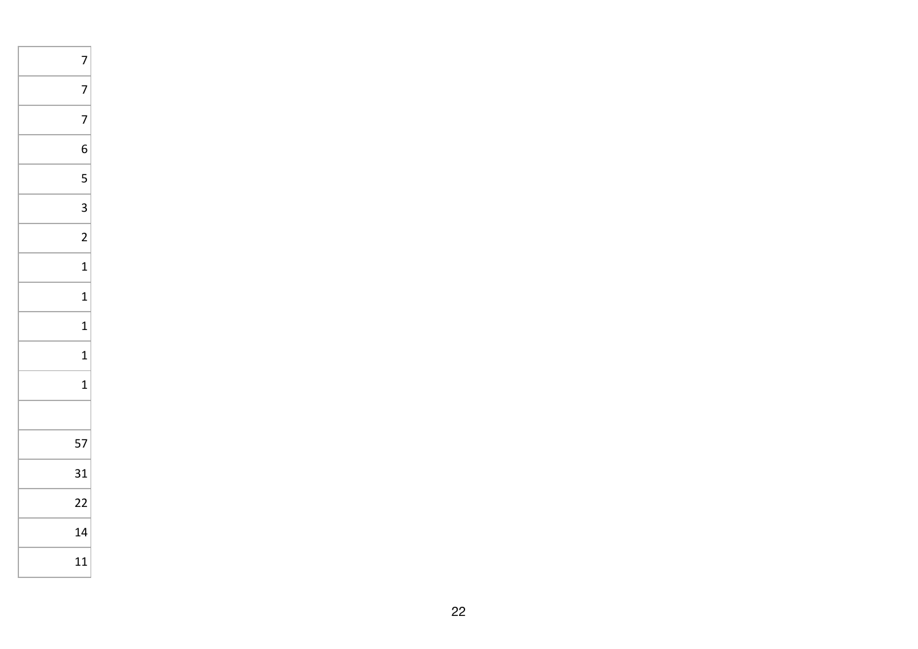| 7               |
|-----------------|
| 7               |
| 7               |
| 6               |
| 5               |
| 3               |
| $\overline{c}$  |
| $\mathbf{1}$    |
| $\mathbf{1}$    |
| 1               |
| $\mathbf{1}$    |
| $\mathbf{1}$    |
|                 |
| 57              |
| 31              |
| $\overline{22}$ |
| 14              |
| 11              |
|                 |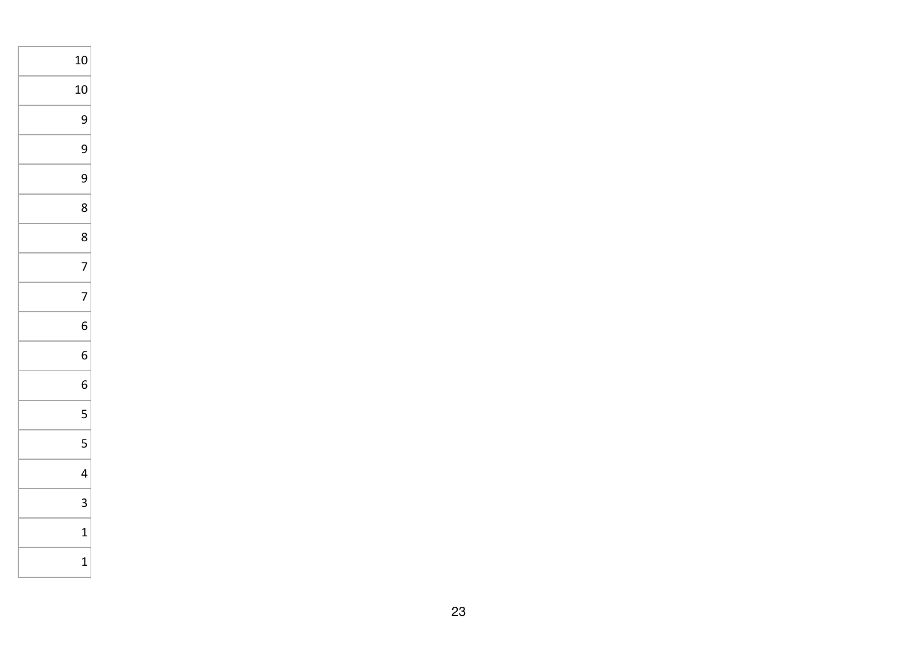| 10           |  |
|--------------|--|
| 10           |  |
| 9            |  |
| 9            |  |
| 9            |  |
| 8            |  |
| 8            |  |
| 7            |  |
| 7            |  |
| 6            |  |
| 6            |  |
| 6            |  |
| 5            |  |
| 5            |  |
| 4            |  |
| 3            |  |
| $\mathbf{1}$ |  |
| $\mathbf{1}$ |  |
|              |  |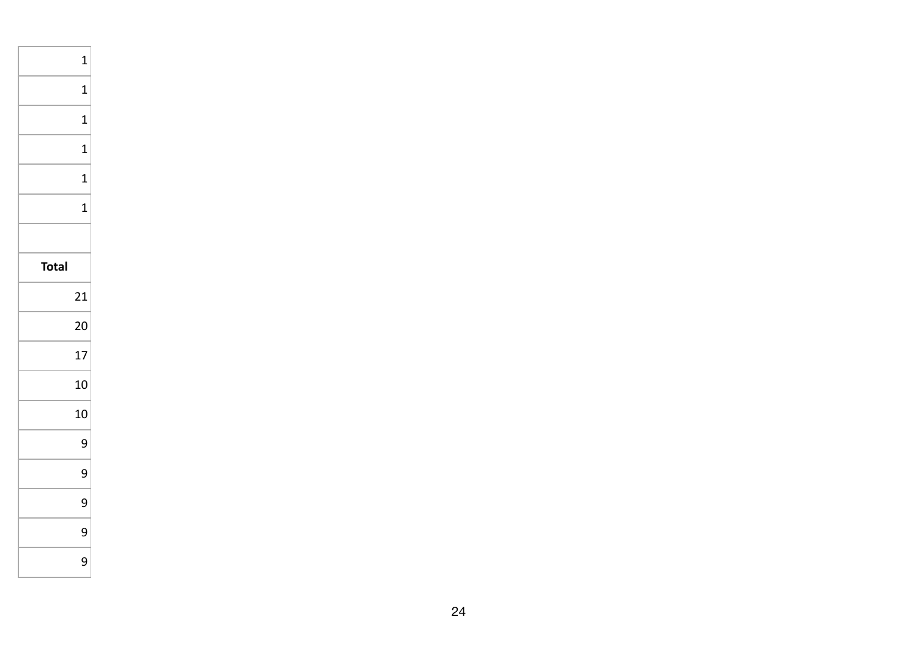|              | $\mathbf 1$  |
|--------------|--------------|
|              | 1            |
|              | 1            |
|              | $\mathbf{1}$ |
|              | 1            |
|              | 1            |
|              |              |
| <b>Total</b> |              |
|              | 21           |
|              | 20           |
|              | 17           |
|              | 10           |
|              | 10           |
|              | 9            |
|              | 9            |
|              | 9            |
|              | 9            |
|              | 9            |
|              |              |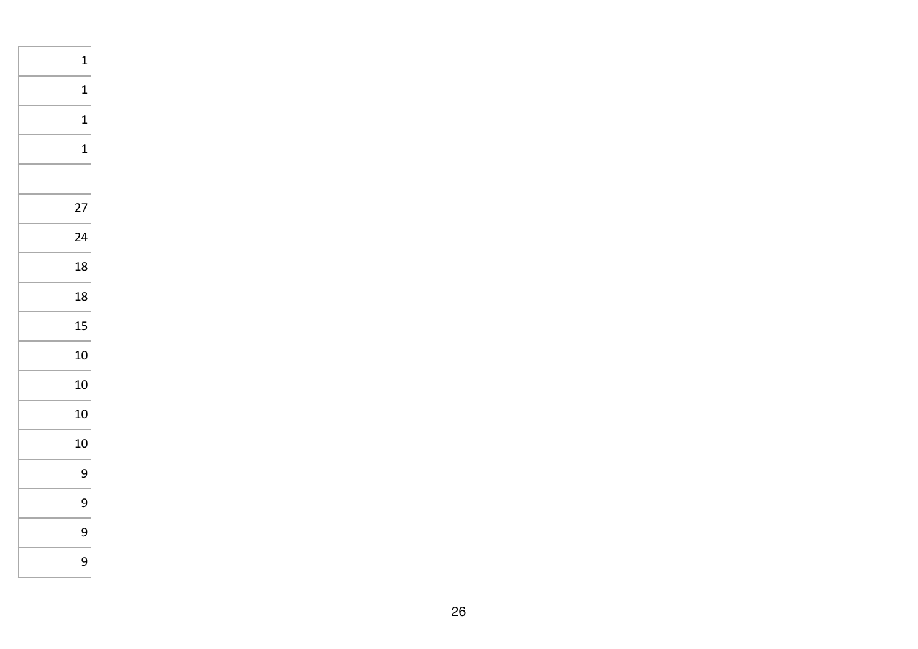| 1           |
|-------------|
| 1           |
| $\mathbf 1$ |
| 1           |
|             |
| 27          |
| 24          |
| 18          |
| 18          |
| 15          |
| 10          |
| 10          |
| 10          |
| 10          |
| 9           |
| 9           |
| 9           |
| 9           |
|             |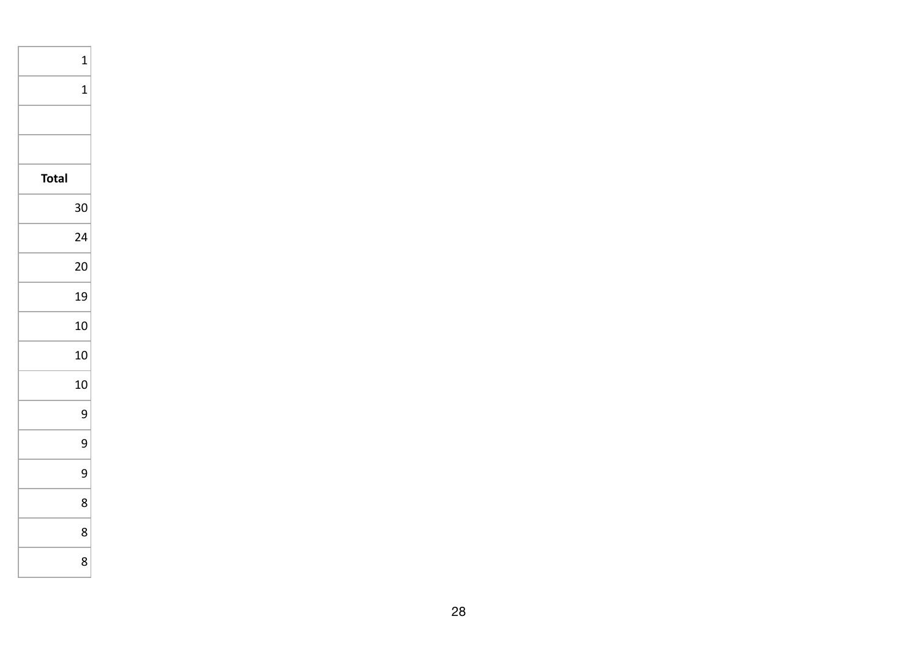|              | $\mathbf{1}$ |
|--------------|--------------|
|              | 1            |
|              |              |
|              |              |
| <b>Total</b> |              |
|              | 30           |
|              | 24           |
|              | 20           |
|              | 19           |
|              | 10           |
|              | 10           |
|              | 10           |
|              | 9            |
|              | 9            |
|              | 9            |
|              | 8            |
|              | 8            |
|              | 8            |
|              |              |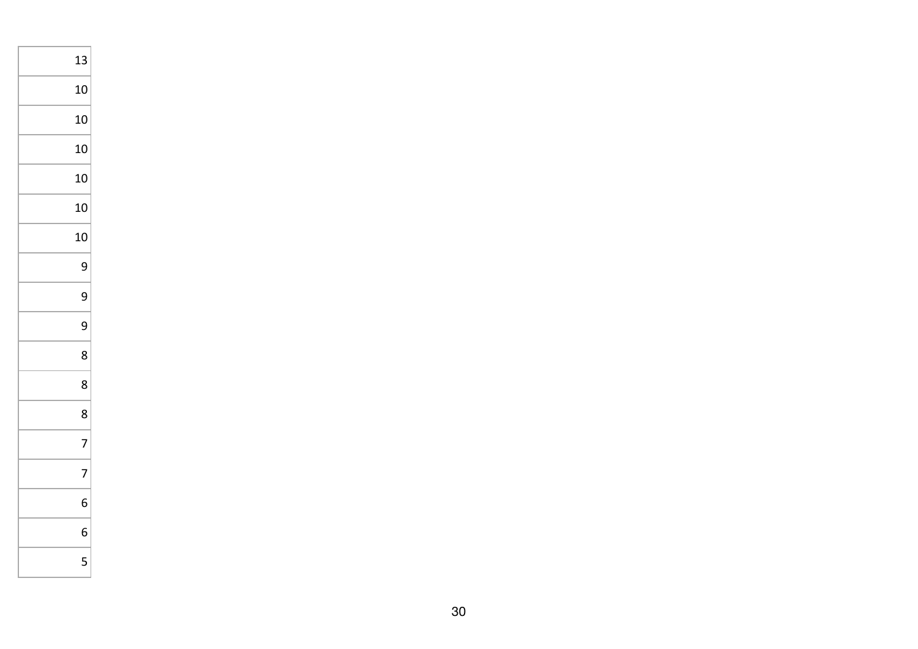| 13 |
|----|
| 10 |
| 10 |
| 10 |
| 10 |
| 10 |
| 10 |
| 9  |
| 9  |
| 9  |
| 8  |
| 8  |
| 8  |
| 7  |
| 7  |
| 6  |
| 6  |
| 5  |
|    |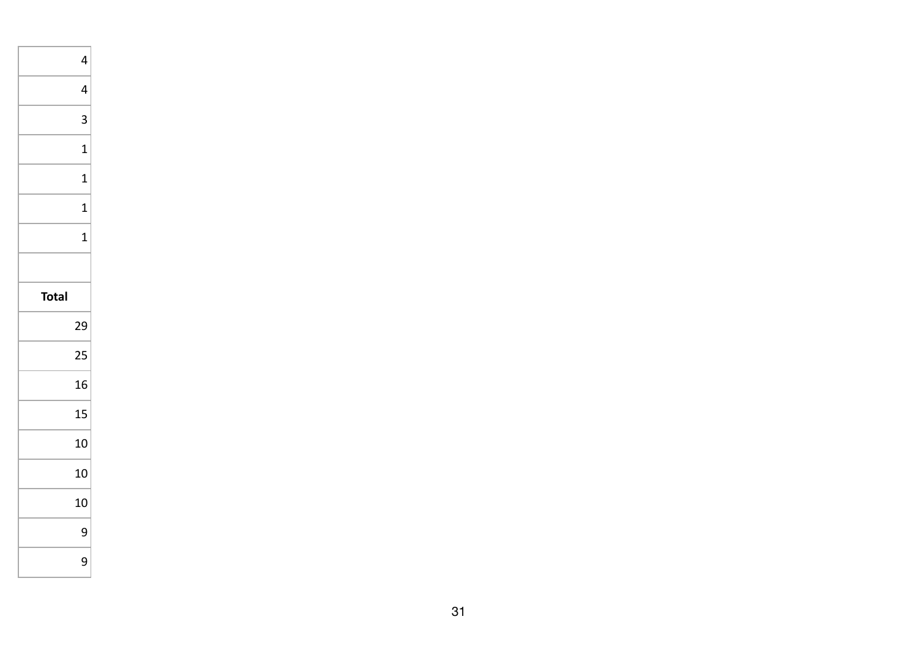|              | 4            |
|--------------|--------------|
|              | 4            |
|              | 3            |
|              | 1            |
|              | $\mathbf{1}$ |
|              | 1            |
|              | 1            |
|              |              |
| <b>Total</b> |              |
|              |              |
|              | 29           |
|              | 25           |
|              | 16           |
|              | 15           |
|              | 10           |
|              | 10           |
|              | 10           |
|              | 9            |
|              | 9            |